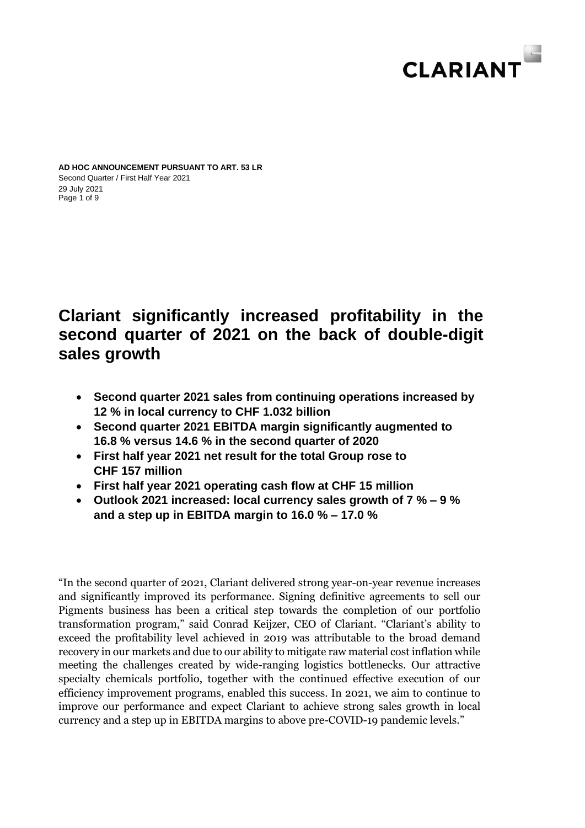

Page 1 of 9 **AD HOC ANNOUNCEMENT PURSUANT TO ART. 53 LR** Second Quarter / First Half Year 2021 29 July 2021

# **Clariant significantly increased profitability in the second quarter of 2021 on the back of double-digit sales growth**

- **Second quarter 2021 sales from continuing operations increased by 12 % in local currency to CHF 1.032 billion**
- **Second quarter 2021 EBITDA margin significantly augmented to 16.8 % versus 14.6 % in the second quarter of 2020**
- **First half year 2021 net result for the total Group rose to CHF 157 million**
- **First half year 2021 operating cash flow at CHF 15 million**
- **Outlook 2021 increased: local currency sales growth of 7 % – 9 % and a step up in EBITDA margin to 16.0 % – 17.0 %**

"In the second quarter of 2021, Clariant delivered strong year-on-year revenue increases and significantly improved its performance. Signing definitive agreements to sell our Pigments business has been a critical step towards the completion of our portfolio transformation program," said Conrad Keijzer, CEO of Clariant. "Clariant's ability to exceed the profitability level achieved in 2019 was attributable to the broad demand recovery in our markets and due to our ability to mitigate raw material cost inflation while meeting the challenges created by wide-ranging logistics bottlenecks. Our attractive specialty chemicals portfolio, together with the continued effective execution of our efficiency improvement programs, enabled this success. In 2021, we aim to continue to improve our performance and expect Clariant to achieve strong sales growth in local currency and a step up in EBITDA margins to above pre-COVID-19 pandemic levels."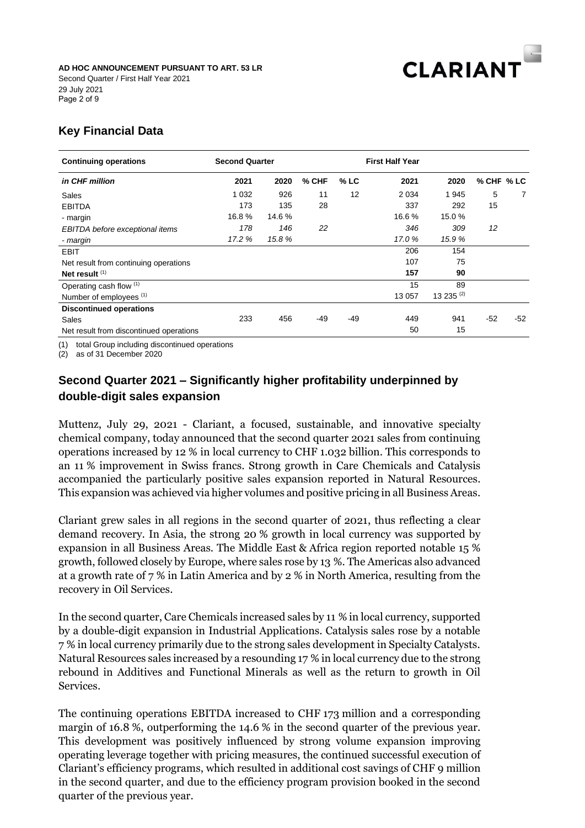

Page 2 of 9 Second Quarter / First Half Year 2021 29 July 2021

# **Key Financial Data**

| <b>Continuing operations</b>            | <b>Second Quarter</b> |        |       | <b>First Half Year</b> |         |              |            |       |
|-----------------------------------------|-----------------------|--------|-------|------------------------|---------|--------------|------------|-------|
| in CHF million                          | 2021                  | 2020   | % CHF | $%$ LC                 | 2021    | 2020         | % CHF % LC |       |
| Sales                                   | 1 0 3 2               | 926    | 11    | 12                     | 2 0 3 4 | 1945         | 5          | 7     |
| <b>EBITDA</b>                           | 173                   | 135    | 28    |                        | 337     | 292          | 15         |       |
| - margin                                | 16.8%                 | 14.6 % |       |                        | 16.6%   | 15.0 %       |            |       |
| EBITDA before exceptional items         | 178                   | 146    | 22    |                        | 346     | 309          | 12         |       |
| - margin                                | 17.2 %                | 15.8 % |       |                        | 17.0%   | 15.9 %       |            |       |
| EBIT                                    |                       |        |       |                        | 206     | 154          |            |       |
| Net result from continuing operations   |                       |        |       |                        | 107     | 75           |            |       |
| Net result $(1)$                        |                       |        |       |                        | 157     | 90           |            |       |
| Operating cash flow (1)                 |                       |        |       |                        | 15      | 89           |            |       |
| Number of employees (1)                 |                       |        |       |                        | 13 057  | 13 235 $(2)$ |            |       |
| <b>Discontinued operations</b>          |                       |        |       |                        |         |              |            |       |
| Sales                                   | 233                   | 456    | -49   | $-49$                  | 449     | 941          | $-52$      | $-52$ |
| Net result from discontinued operations |                       |        |       |                        | 50      | 15           |            |       |

(1) total Group including discontinued operations

(2) as of 31 December 2020

# **Second Quarter 2021 – Significantly higher profitability underpinned by double-digit sales expansion**

Muttenz, July 29, 2021 - Clariant, a focused, sustainable, and innovative specialty chemical company, today announced that the second quarter 2021 sales from continuing operations increased by 12 % in local currency to CHF 1.032 billion. This corresponds to an 11 % improvement in Swiss francs. Strong growth in Care Chemicals and Catalysis accompanied the particularly positive sales expansion reported in Natural Resources. This expansion was achieved via higher volumes and positive pricing in all Business Areas.

Clariant grew sales in all regions in the second quarter of 2021, thus reflecting a clear demand recovery. In Asia, the strong 20 % growth in local currency was supported by expansion in all Business Areas. The Middle East & Africa region reported notable 15 % growth, followed closely by Europe, where sales rose by 13 %. The Americas also advanced at a growth rate of 7 % in Latin America and by 2 % in North America, resulting from the recovery in Oil Services.

In the second quarter, Care Chemicals increased sales by 11 % in local currency, supported by a double-digit expansion in Industrial Applications. Catalysis sales rose by a notable 7 % in local currency primarily due to the strong sales development in Specialty Catalysts. Natural Resources sales increased by a resounding 17 % in local currency due to the strong rebound in Additives and Functional Minerals as well as the return to growth in Oil Services.

The continuing operations EBITDA increased to CHF 173 million and a corresponding margin of 16.8 %, outperforming the 14.6 % in the second quarter of the previous year. This development was positively influenced by strong volume expansion improving operating leverage together with pricing measures, the continued successful execution of Clariant's efficiency programs, which resulted in additional cost savings of CHF 9 million in the second quarter, and due to the efficiency program provision booked in the second quarter of the previous year.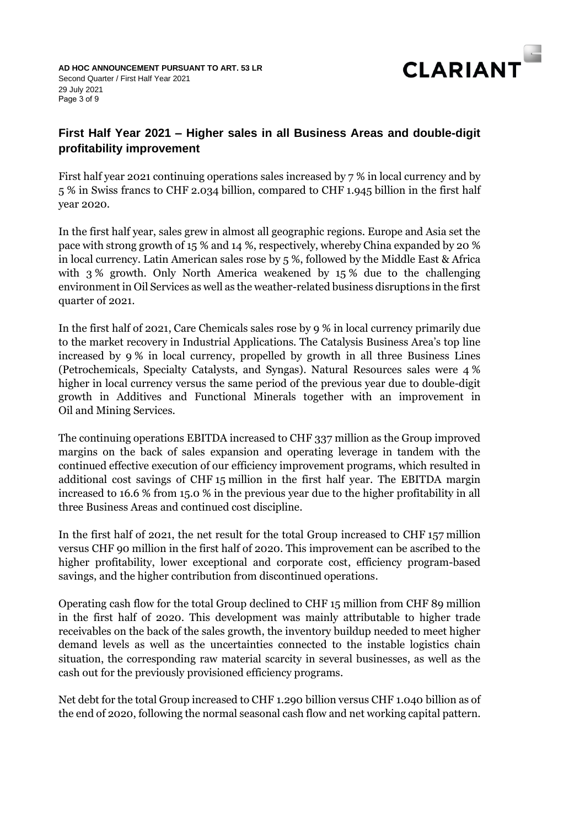

# **First Half Year 2021 – Higher sales in all Business Areas and double-digit profitability improvement**

First half year 2021 continuing operations sales increased by 7 % in local currency and by 5 % in Swiss francs to CHF 2.034 billion, compared to CHF 1.945 billion in the first half year 2020.

In the first half year, sales grew in almost all geographic regions. Europe and Asia set the pace with strong growth of 15 % and 14 %, respectively, whereby China expanded by 20 % in local currency. Latin American sales rose by 5 %, followed by the Middle East & Africa with 3 % growth. Only North America weakened by 15 % due to the challenging environment in Oil Services as well as the weather-related business disruptions in the first quarter of 2021.

In the first half of 2021, Care Chemicals sales rose by 9 % in local currency primarily due to the market recovery in Industrial Applications. The Catalysis Business Area's top line increased by 9 % in local currency, propelled by growth in all three Business Lines (Petrochemicals, Specialty Catalysts, and Syngas). Natural Resources sales were 4 % higher in local currency versus the same period of the previous year due to double-digit growth in Additives and Functional Minerals together with an improvement in Oil and Mining Services.

The continuing operations EBITDA increased to CHF 337 million as the Group improved margins on the back of sales expansion and operating leverage in tandem with the continued effective execution of our efficiency improvement programs, which resulted in additional cost savings of CHF 15 million in the first half year. The EBITDA margin increased to 16.6 % from 15.0 % in the previous year due to the higher profitability in all three Business Areas and continued cost discipline.

In the first half of 2021, the net result for the total Group increased to CHF 157 million versus CHF 90 million in the first half of 2020. This improvement can be ascribed to the higher profitability, lower exceptional and corporate cost, efficiency program-based savings, and the higher contribution from discontinued operations.

Operating cash flow for the total Group declined to CHF 15 million from CHF 89 million in the first half of 2020. This development was mainly attributable to higher trade receivables on the back of the sales growth, the inventory buildup needed to meet higher demand levels as well as the uncertainties connected to the instable logistics chain situation, the corresponding raw material scarcity in several businesses, as well as the cash out for the previously provisioned efficiency programs.

Net debt for the total Group increased to CHF 1.290 billion versus CHF 1.040 billion as of the end of 2020, following the normal seasonal cash flow and net working capital pattern.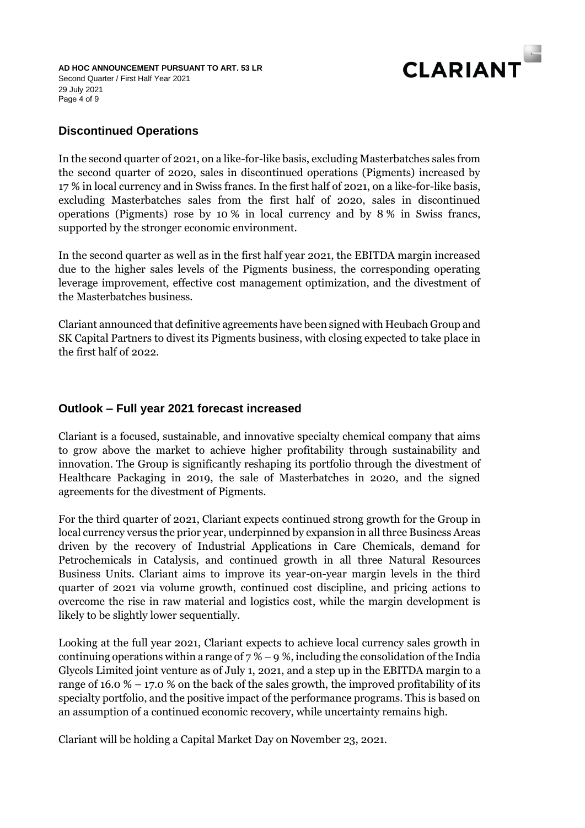

Page 4 of 9 **AD HOC ANNOUNCEMENT PURSUANT TO ART. 53 LR** Second Quarter / First Half Year 2021 29 July 2021

# **Discontinued Operations**

In the second quarter of 2021, on a like-for-like basis, excluding Masterbatches sales from the second quarter of 2020, sales in discontinued operations (Pigments) increased by 17 % in local currency and in Swiss francs. In the first half of 2021, on a like-for-like basis, excluding Masterbatches sales from the first half of 2020, sales in discontinued operations (Pigments) rose by 10 % in local currency and by 8 % in Swiss francs, supported by the stronger economic environment.

In the second quarter as well as in the first half year 2021, the EBITDA margin increased due to the higher sales levels of the Pigments business, the corresponding operating leverage improvement, effective cost management optimization, and the divestment of the Masterbatches business.

Clariant announced that definitive agreements have been signed with Heubach Group and SK Capital Partners to divest its Pigments business, with closing expected to take place in the first half of 2022.

# **Outlook – Full year 2021 forecast increased**

Clariant is a focused, sustainable, and innovative specialty chemical company that aims to grow above the market to achieve higher profitability through sustainability and innovation. The Group is significantly reshaping its portfolio through the divestment of Healthcare Packaging in 2019, the sale of Masterbatches in 2020, and the signed agreements for the divestment of Pigments.

For the third quarter of 2021, Clariant expects continued strong growth for the Group in local currency versus the prior year, underpinned by expansion in all three Business Areas driven by the recovery of Industrial Applications in Care Chemicals, demand for Petrochemicals in Catalysis, and continued growth in all three Natural Resources Business Units. Clariant aims to improve its year-on-year margin levels in the third quarter of 2021 via volume growth, continued cost discipline, and pricing actions to overcome the rise in raw material and logistics cost, while the margin development is likely to be slightly lower sequentially.

Looking at the full year 2021, Clariant expects to achieve local currency sales growth in continuing operations within a range of  $7\%$  – 9 %, including the consolidation of the India Glycols Limited joint venture as of July 1, 2021, and a step up in the EBITDA margin to a range of  $16.0\%$  – 17.0 % on the back of the sales growth, the improved profitability of its specialty portfolio, and the positive impact of the performance programs. This is based on an assumption of a continued economic recovery, while uncertainty remains high.

Clariant will be holding a Capital Market Day on November 23, 2021.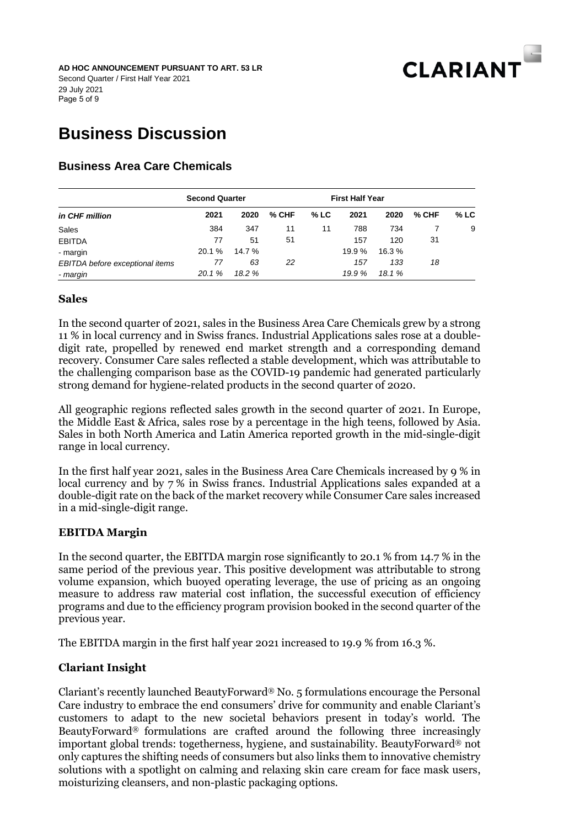

# **Business Discussion**

# **Business Area Care Chemicals**

|                                 | <b>Second Quarter</b> |        |         |        | <b>First Half Year</b> |        |       |        |
|---------------------------------|-----------------------|--------|---------|--------|------------------------|--------|-------|--------|
| in CHF million                  | 2021                  | 2020   | $%$ CHF | $%$ LC | 2021                   | 2020   | % CHF | $%$ LC |
| Sales                           | 384                   | 347    | 11      | 11     | 788                    | 734    |       | 9      |
| <b>EBITDA</b>                   | 77                    | 51     | 51      |        | 157                    | 120    | 31    |        |
| - margin                        | 20.1 %                | 14.7 % |         |        | 19.9 %                 | 16.3 % |       |        |
| EBITDA before exceptional items | 77                    | 63     | 22      |        | 157                    | 133    | 18    |        |
| - margin                        | 20.1%                 | 18.2 % |         |        | 19.9 %                 | 18.1%  |       |        |

#### **Sales**

In the second quarter of 2021, sales in the Business Area Care Chemicals grew by a strong 11 % in local currency and in Swiss francs. Industrial Applications sales rose at a doubledigit rate, propelled by renewed end market strength and a corresponding demand recovery. Consumer Care sales reflected a stable development, which was attributable to the challenging comparison base as the COVID-19 pandemic had generated particularly strong demand for hygiene-related products in the second quarter of 2020.

All geographic regions reflected sales growth in the second quarter of 2021. In Europe, the Middle East & Africa, sales rose by a percentage in the high teens, followed by Asia. Sales in both North America and Latin America reported growth in the mid-single-digit range in local currency.

In the first half year 2021, sales in the Business Area Care Chemicals increased by 9 % in local currency and by 7 % in Swiss francs. Industrial Applications sales expanded at a double-digit rate on the back of the market recovery while Consumer Care sales increased in a mid-single-digit range.

#### **EBITDA Margin**

In the second quarter, the EBITDA margin rose significantly to 20.1 % from 14.7 % in the same period of the previous year. This positive development was attributable to strong volume expansion, which buoyed operating leverage, the use of pricing as an ongoing measure to address raw material cost inflation, the successful execution of efficiency programs and due to the efficiency program provision booked in the second quarter of the previous year.

The EBITDA margin in the first half year 2021 increased to 19.9 % from 16.3 %.

#### **Clariant Insight**

Clariant's recently launched BeautyForward® No. 5 formulations encourage the Personal Care industry to embrace the end consumers' drive for community and enable Clariant's customers to adapt to the new societal behaviors present in today's world. The BeautyForward® formulations are crafted around the following three increasingly important global trends: togetherness, hygiene, and sustainability. BeautyForward® not only captures the shifting needs of consumers but also links them to innovative chemistry solutions with a spotlight on calming and relaxing skin care cream for face mask users, moisturizing cleansers, and non-plastic packaging options.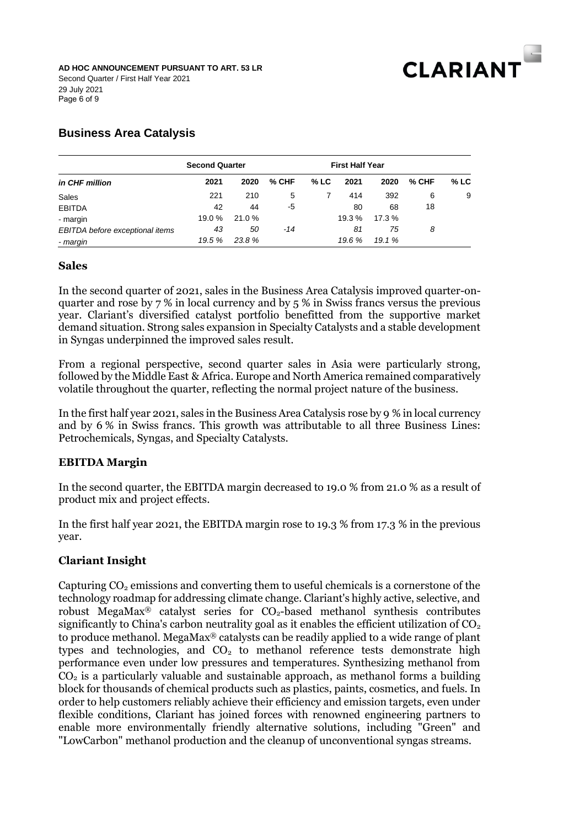

# **Business Area Catalysis**

|                                 | <b>Second Quarter</b> |       |       |        | <b>First Half Year</b> |       |       |        |
|---------------------------------|-----------------------|-------|-------|--------|------------------------|-------|-------|--------|
| in CHF million                  | 2021                  | 2020  | % CHF | $%$ LC | 2021                   | 2020  | % CHF | $%$ LC |
| Sales                           | 221                   | 210   | 5     |        | 414                    | 392   | 6     | 9      |
| <b>EBITDA</b>                   | 42                    | 44    | -5    |        | 80                     | 68    | 18    |        |
| - margin                        | 19.0 %                | 21.0% |       |        | 19.3 %                 | 17.3% |       |        |
| EBITDA before exceptional items | 43                    | 50    | $-14$ |        | 81                     | 75    | 8     |        |
| - margin                        | 19.5 %                | 23.8% |       |        | 19.6 %                 | 19.1% |       |        |

#### **Sales**

In the second quarter of 2021, sales in the Business Area Catalysis improved quarter-onquarter and rose by 7 % in local currency and by 5 % in Swiss francs versus the previous year. Clariant's diversified catalyst portfolio benefitted from the supportive market demand situation. Strong sales expansion in Specialty Catalysts and a stable development in Syngas underpinned the improved sales result.

From a regional perspective, second quarter sales in Asia were particularly strong, followed by the Middle East & Africa. Europe and North America remained comparatively volatile throughout the quarter, reflecting the normal project nature of the business.

In the first half year 2021, sales in the Business Area Catalysis rose by 9 % in local currency and by 6 % in Swiss francs. This growth was attributable to all three Business Lines: Petrochemicals, Syngas, and Specialty Catalysts.

#### **EBITDA Margin**

In the second quarter, the EBITDA margin decreased to 19.0 % from 21.0 % as a result of product mix and project effects.

In the first half year 2021, the EBITDA margin rose to 19.3 % from 17.3 % in the previous year.

#### **Clariant Insight**

Capturing  $CO<sub>2</sub>$  emissions and converting them to useful chemicals is a cornerstone of the technology roadmap for addressing climate change. Clariant's highly active, selective, and robust MegaMax<sup>®</sup> catalyst series for  $CO<sub>2</sub>$ -based methanol synthesis contributes significantly to China's carbon neutrality goal as it enables the efficient utilization of  $CO<sub>2</sub>$ to produce methanol. MegaMax® catalysts can be readily applied to a wide range of plant types and technologies, and  $CO<sub>2</sub>$  to methanol reference tests demonstrate high performance even under low pressures and temperatures. Synthesizing methanol from  $CO<sub>2</sub>$  is a particularly valuable and sustainable approach, as methanol forms a building block for thousands of chemical products such as plastics, paints, cosmetics, and fuels. In order to help customers reliably achieve their efficiency and emission targets, even under flexible conditions, Clariant has joined forces with renowned engineering partners to enable more environmentally friendly alternative solutions, including "Green" and "LowCarbon" methanol production and the cleanup of unconventional syngas streams.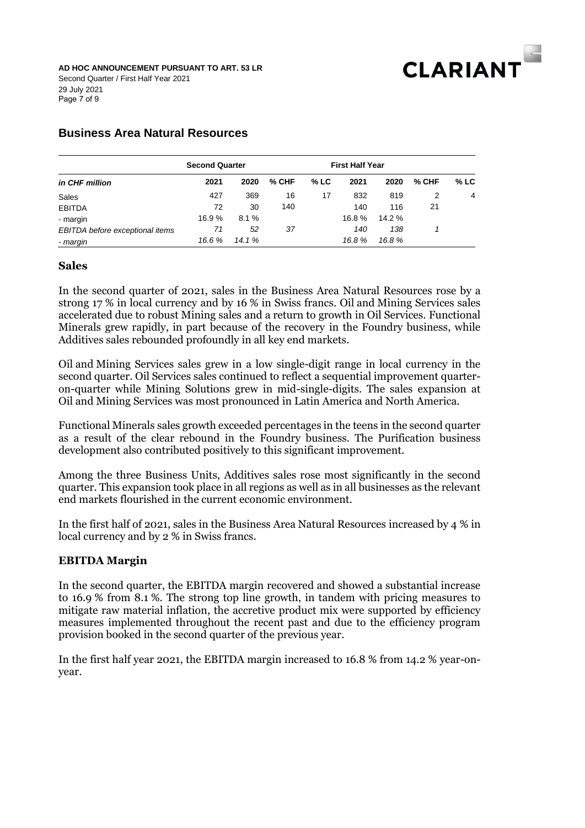

Page 7 of 9 **AD HOC ANNOUNCEMENT PURSUANT TO ART. 53 LR** Second Quarter / First Half Year 2021 29 July 2021

## **Business Area Natural Resources**

| in CHF million                  | <b>Second Quarter</b> |        |         |        | <b>First Half Year</b> |        |       |        |
|---------------------------------|-----------------------|--------|---------|--------|------------------------|--------|-------|--------|
|                                 | 2021                  | 2020   | $%$ CHF | $%$ LC | 2021                   | 2020   | % CHF | $%$ LC |
| Sales                           | 427                   | 369    | 16      | 17     | 832                    | 819    | 2     | 4      |
| <b>EBITDA</b>                   | 72                    | 30     | 140     |        | 140                    | 116    | 21    |        |
| - margin                        | 16.9%                 | 8.1%   |         |        | 16.8%                  | 14.2 % |       |        |
| EBITDA before exceptional items | 71                    | 52     | -37     |        | 140                    | 138    |       |        |
| - margin                        | 16.6%                 | 14.1 % |         |        | 16.8%                  | 16.8%  |       |        |

#### **Sales**

In the second quarter of 2021, sales in the Business Area Natural Resources rose by a strong 17 % in local currency and by 16 % in Swiss francs. Oil and Mining Services sales accelerated due to robust Mining sales and a return to growth in Oil Services. Functional Minerals grew rapidly, in part because of the recovery in the Foundry business, while Additives sales rebounded profoundly in all key end markets.

Oil and Mining Services sales grew in a low single-digit range in local currency in the second quarter. Oil Services sales continued to reflect a sequential improvement quarteron-quarter while Mining Solutions grew in mid-single-digits. The sales expansion at Oil and Mining Services was most pronounced in Latin America and North America.

Functional Minerals sales growth exceeded percentages in the teens in the second quarter as a result of the clear rebound in the Foundry business. The Purification business development also contributed positively to this significant improvement.

Among the three Business Units, Additives sales rose most significantly in the second quarter. This expansion took place in all regions as well as in all businesses as the relevant end markets flourished in the current economic environment.

In the first half of 2021, sales in the Business Area Natural Resources increased by 4 % in local currency and by 2 % in Swiss francs.

#### **EBITDA Margin**

In the second quarter, the EBITDA margin recovered and showed a substantial increase to 16.9 % from 8.1 %. The strong top line growth, in tandem with pricing measures to mitigate raw material inflation, the accretive product mix were supported by efficiency measures implemented throughout the recent past and due to the efficiency program provision booked in the second quarter of the previous year.

In the first half year 2021, the EBITDA margin increased to 16.8 % from 14.2 % year-onyear.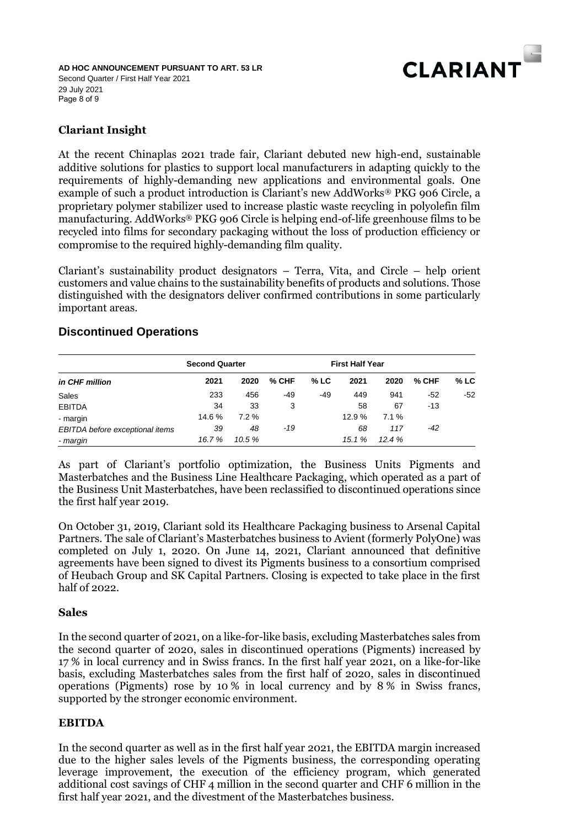

Page 8 of 9 **AD HOC ANNOUNCEMENT PURSUANT TO ART. 53 LR** Second Quarter / First Half Year 2021 29 July 2021

# **Clariant Insight**

At the recent Chinaplas 2021 trade fair, Clariant debuted new high-end, sustainable additive solutions for plastics to support local manufacturers in adapting quickly to the requirements of highly-demanding new applications and environmental goals. One example of such a product introduction is Clariant's new AddWorks® PKG 906 Circle, a proprietary polymer stabilizer used to increase plastic waste recycling in polyolefin film manufacturing. AddWorks® PKG 906 Circle is helping end-of-life greenhouse films to be recycled into films for secondary packaging without the loss of production efficiency or compromise to the required highly-demanding film quality.

Clariant's sustainability product designators – Terra, Vita, and Circle – help orient customers and value chains to the sustainability benefits of products and solutions. Those distinguished with the designators deliver confirmed contributions in some particularly important areas.

### **Discontinued Operations**

| in CHF million                  | <b>Second Quarter</b> |          |         |        | <b>First Half Year</b> |       |         |        |
|---------------------------------|-----------------------|----------|---------|--------|------------------------|-------|---------|--------|
|                                 | 2021                  | 2020     | $%$ CHF | $%$ LC | 2021                   | 2020  | $%$ CHF | $%$ LC |
| Sales                           | 233                   | 456      | -49     | -49    | 449                    | 941   | -52     | -52    |
| <b>EBITDA</b>                   | 34                    | 33       | 3       |        | 58                     | 67    | -13     |        |
| - margin                        | 14.6 %                | $7.2 \%$ |         |        | 12.9 %                 | 7.1%  |         |        |
| EBITDA before exceptional items | 39                    | 48       | $-19$   |        | 68                     | 117   | -42     |        |
| - margin                        | 16.7%                 | 10.5 %   |         |        | 15.1%                  | 12.4% |         |        |

As part of Clariant's portfolio optimization, the Business Units Pigments and Masterbatches and the Business Line Healthcare Packaging, which operated as a part of the Business Unit Masterbatches, have been reclassified to discontinued operations since the first half year 2019.

On October 31, 2019, Clariant sold its Healthcare Packaging business to Arsenal Capital Partners. The sale of Clariant's Masterbatches business to Avient (formerly PolyOne) was completed on July 1, 2020. On June 14, 2021, Clariant announced that definitive agreements have been signed to divest its Pigments business to a consortium comprised of Heubach Group and SK Capital Partners. Closing is expected to take place in the first half of 2022.

#### **Sales**

In the second quarter of 2021, on a like-for-like basis, excluding Masterbatches sales from the second quarter of 2020, sales in discontinued operations (Pigments) increased by 17 % in local currency and in Swiss francs. In the first half year 2021, on a like-for-like basis, excluding Masterbatches sales from the first half of 2020, sales in discontinued operations (Pigments) rose by 10 % in local currency and by 8 % in Swiss francs, supported by the stronger economic environment.

#### **EBITDA**

In the second quarter as well as in the first half year 2021, the EBITDA margin increased due to the higher sales levels of the Pigments business, the corresponding operating leverage improvement, the execution of the efficiency program, which generated additional cost savings of CHF 4 million in the second quarter and CHF 6 million in the first half year 2021, and the divestment of the Masterbatches business.